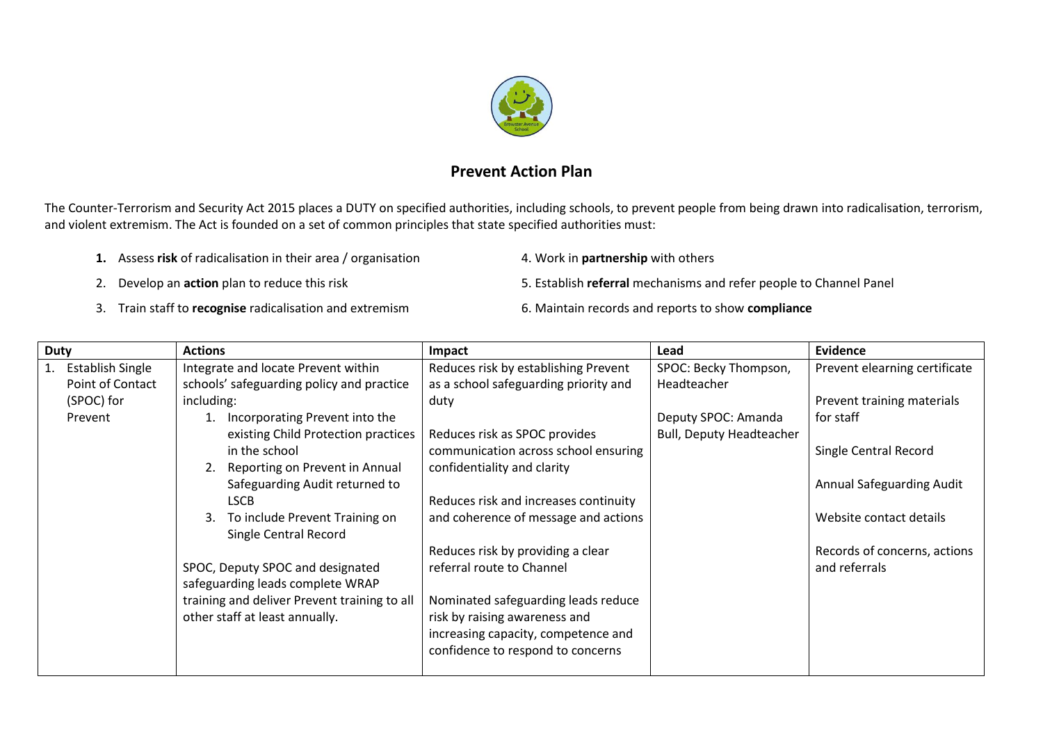

## **Prevent Action Plan**

The Counter-Terrorism and Security Act 2015 places a DUTY on specified authorities, including schools, to prevent people from being drawn into radicalisation, terrorism, and violent extremism. The Act is founded on a set of common principles that state specified authorities must:

- 1. Assess risk of radicalisation in their area / organisation 4. Work in **partnership** with others
	-
- 2. Develop an **action** plan to reduce this risk 5. Establish **referral** mechanisms and refer people to Channel Panel
- 3. Train staff to **recognise** radicalisation and extremism 6. Maintain records and reports to show **compliance**
- -

| <b>Duty</b> |                     | <b>Actions</b>                               | Impact                                | Lead                            | <b>Evidence</b>               |
|-------------|---------------------|----------------------------------------------|---------------------------------------|---------------------------------|-------------------------------|
|             | 1. Establish Single | Integrate and locate Prevent within          | Reduces risk by establishing Prevent  | SPOC: Becky Thompson,           | Prevent elearning certificate |
|             | Point of Contact    | schools' safeguarding policy and practice    | as a school safeguarding priority and | Headteacher                     |                               |
|             | (SPOC) for          | including:                                   | duty                                  |                                 | Prevent training materials    |
|             | Prevent             | 1. Incorporating Prevent into the            |                                       | Deputy SPOC: Amanda             | for staff                     |
|             |                     | existing Child Protection practices          | Reduces risk as SPOC provides         | <b>Bull, Deputy Headteacher</b> |                               |
|             |                     | in the school                                | communication across school ensuring  |                                 | Single Central Record         |
|             |                     | 2. Reporting on Prevent in Annual            | confidentiality and clarity           |                                 |                               |
|             |                     | Safeguarding Audit returned to               |                                       |                                 | Annual Safeguarding Audit     |
|             |                     | <b>LSCB</b>                                  | Reduces risk and increases continuity |                                 |                               |
|             |                     | To include Prevent Training on<br>3.         | and coherence of message and actions  |                                 | Website contact details       |
|             |                     | Single Central Record                        |                                       |                                 |                               |
|             |                     |                                              | Reduces risk by providing a clear     |                                 | Records of concerns, actions  |
|             |                     | SPOC, Deputy SPOC and designated             | referral route to Channel             |                                 | and referrals                 |
|             |                     | safeguarding leads complete WRAP             |                                       |                                 |                               |
|             |                     | training and deliver Prevent training to all | Nominated safeguarding leads reduce   |                                 |                               |
|             |                     | other staff at least annually.               | risk by raising awareness and         |                                 |                               |
|             |                     |                                              | increasing capacity, competence and   |                                 |                               |
|             |                     |                                              | confidence to respond to concerns     |                                 |                               |
|             |                     |                                              |                                       |                                 |                               |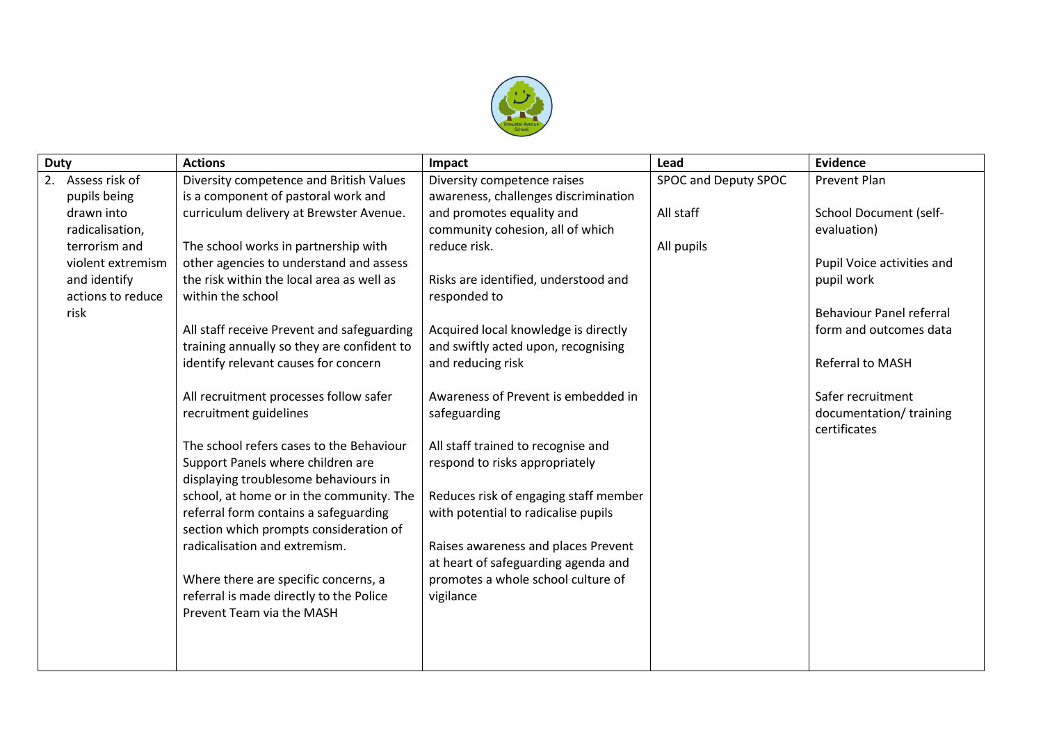

| <b>Duty</b> |                   | <b>Actions</b>                             | Impact                                | Lead                 | <b>Evidence</b>                 |
|-------------|-------------------|--------------------------------------------|---------------------------------------|----------------------|---------------------------------|
|             | 2. Assess risk of | Diversity competence and British Values    | Diversity competence raises           | SPOC and Deputy SPOC | Prevent Plan                    |
|             | pupils being      | is a component of pastoral work and        | awareness, challenges discrimination  |                      |                                 |
|             | drawn into        | curriculum delivery at Brewster Avenue.    | and promotes equality and             | All staff            | <b>School Document (self-</b>   |
|             | radicalisation,   |                                            | community cohesion, all of which      |                      | evaluation)                     |
|             | terrorism and     | The school works in partnership with       | reduce risk.                          | All pupils           |                                 |
|             | violent extremism | other agencies to understand and assess    |                                       |                      | Pupil Voice activities and      |
|             | and identify      | the risk within the local area as well as  | Risks are identified, understood and  |                      | pupil work                      |
|             | actions to reduce | within the school                          | responded to                          |                      |                                 |
|             | risk              |                                            |                                       |                      | <b>Behaviour Panel referral</b> |
|             |                   | All staff receive Prevent and safeguarding | Acquired local knowledge is directly  |                      | form and outcomes data          |
|             |                   | training annually so they are confident to | and swiftly acted upon, recognising   |                      |                                 |
|             |                   | identify relevant causes for concern       | and reducing risk                     |                      | Referral to MASH                |
|             |                   |                                            |                                       |                      |                                 |
|             |                   | All recruitment processes follow safer     | Awareness of Prevent is embedded in   |                      | Safer recruitment               |
|             |                   | recruitment guidelines                     | safeguarding                          |                      | documentation/training          |
|             |                   |                                            |                                       |                      | certificates                    |
|             |                   | The school refers cases to the Behaviour   | All staff trained to recognise and    |                      |                                 |
|             |                   | Support Panels where children are          | respond to risks appropriately        |                      |                                 |
|             |                   | displaying troublesome behaviours in       |                                       |                      |                                 |
|             |                   | school, at home or in the community. The   | Reduces risk of engaging staff member |                      |                                 |
|             |                   | referral form contains a safeguarding      | with potential to radicalise pupils   |                      |                                 |
|             |                   | section which prompts consideration of     |                                       |                      |                                 |
|             |                   | radicalisation and extremism.              | Raises awareness and places Prevent   |                      |                                 |
|             |                   |                                            | at heart of safeguarding agenda and   |                      |                                 |
|             |                   | Where there are specific concerns, a       | promotes a whole school culture of    |                      |                                 |
|             |                   | referral is made directly to the Police    | vigilance                             |                      |                                 |
|             |                   | Prevent Team via the MASH                  |                                       |                      |                                 |
|             |                   |                                            |                                       |                      |                                 |
|             |                   |                                            |                                       |                      |                                 |
|             |                   |                                            |                                       |                      |                                 |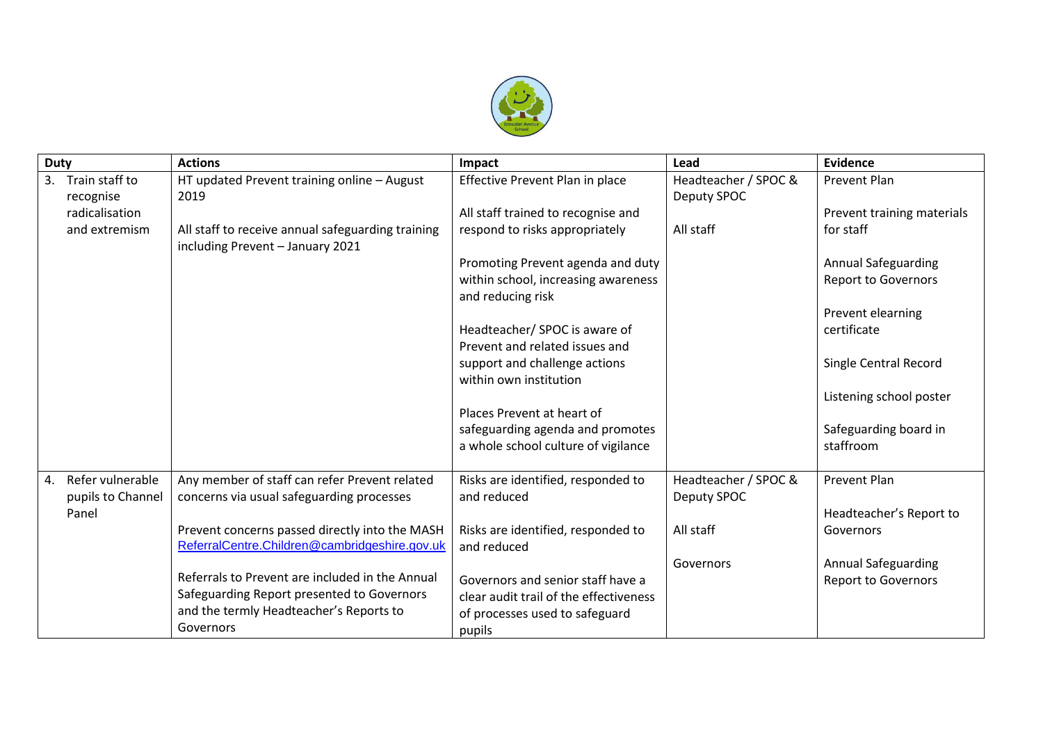

| <b>Duty</b> |                   | <b>Actions</b>                                    | Impact                                 | Lead                 | Evidence                     |
|-------------|-------------------|---------------------------------------------------|----------------------------------------|----------------------|------------------------------|
| 3.          | Train staff to    | HT updated Prevent training online - August       | Effective Prevent Plan in place        | Headteacher / SPOC & | <b>Prevent Plan</b>          |
|             | recognise         | 2019                                              |                                        | Deputy SPOC          |                              |
|             | radicalisation    |                                                   | All staff trained to recognise and     |                      | Prevent training materials   |
|             | and extremism     | All staff to receive annual safeguarding training | respond to risks appropriately         | All staff            | for staff                    |
|             |                   | including Prevent - January 2021                  |                                        |                      |                              |
|             |                   |                                                   | Promoting Prevent agenda and duty      |                      | <b>Annual Safeguarding</b>   |
|             |                   |                                                   | within school, increasing awareness    |                      | <b>Report to Governors</b>   |
|             |                   |                                                   | and reducing risk                      |                      |                              |
|             |                   |                                                   |                                        |                      | Prevent elearning            |
|             |                   |                                                   | Headteacher/ SPOC is aware of          |                      | certificate                  |
|             |                   |                                                   | Prevent and related issues and         |                      |                              |
|             |                   |                                                   | support and challenge actions          |                      | <b>Single Central Record</b> |
|             |                   |                                                   | within own institution                 |                      |                              |
|             |                   |                                                   | Places Prevent at heart of             |                      | Listening school poster      |
|             |                   |                                                   | safeguarding agenda and promotes       |                      | Safeguarding board in        |
|             |                   |                                                   | a whole school culture of vigilance    |                      | staffroom                    |
|             |                   |                                                   |                                        |                      |                              |
| 4.          | Refer vulnerable  | Any member of staff can refer Prevent related     | Risks are identified, responded to     | Headteacher / SPOC & | <b>Prevent Plan</b>          |
|             | pupils to Channel | concerns via usual safeguarding processes         | and reduced                            | Deputy SPOC          |                              |
|             | Panel             |                                                   |                                        |                      | Headteacher's Report to      |
|             |                   | Prevent concerns passed directly into the MASH    | Risks are identified, responded to     | All staff            | Governors                    |
|             |                   | ReferralCentre.Children@cambridgeshire.gov.uk     | and reduced                            |                      |                              |
|             |                   |                                                   |                                        | Governors            | <b>Annual Safeguarding</b>   |
|             |                   | Referrals to Prevent are included in the Annual   | Governors and senior staff have a      |                      | <b>Report to Governors</b>   |
|             |                   | Safeguarding Report presented to Governors        | clear audit trail of the effectiveness |                      |                              |
|             |                   | and the termly Headteacher's Reports to           | of processes used to safeguard         |                      |                              |
|             |                   | Governors                                         | pupils                                 |                      |                              |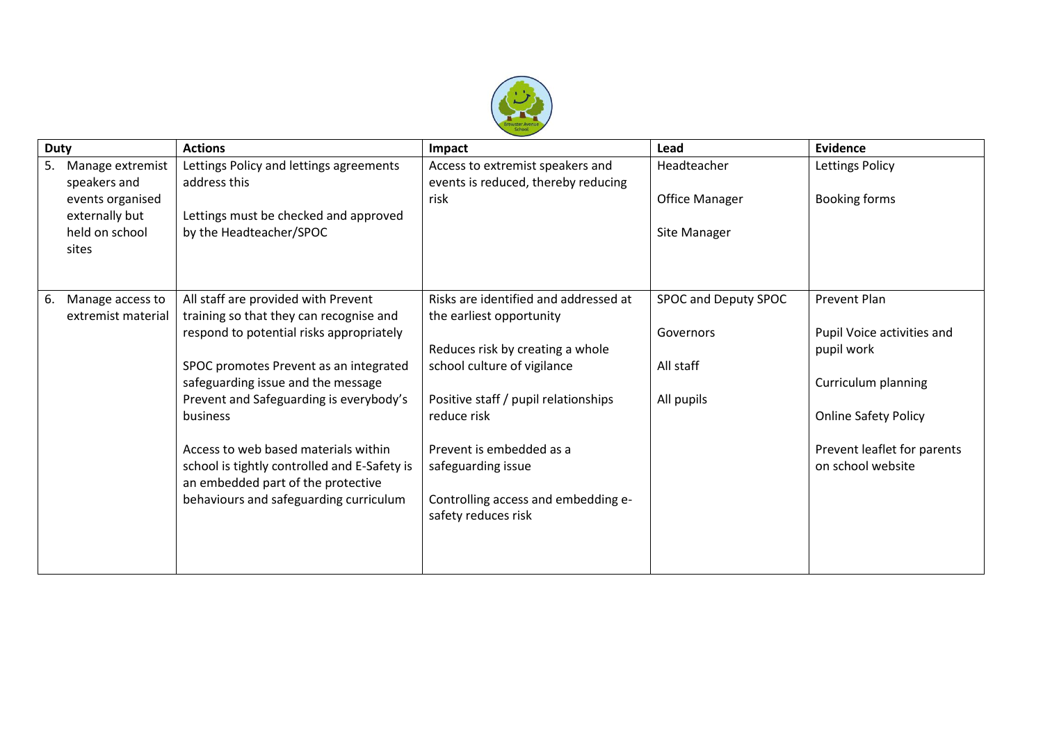

| <b>Duty</b>                                                                                             | <b>Actions</b>                                                                                                                                                                                                                                                                                                                                                                                                                            | Impact                                                                                                                                                                                                                                                                                                      | Lead                                                         | <b>Evidence</b>                                                                                                                                                    |
|---------------------------------------------------------------------------------------------------------|-------------------------------------------------------------------------------------------------------------------------------------------------------------------------------------------------------------------------------------------------------------------------------------------------------------------------------------------------------------------------------------------------------------------------------------------|-------------------------------------------------------------------------------------------------------------------------------------------------------------------------------------------------------------------------------------------------------------------------------------------------------------|--------------------------------------------------------------|--------------------------------------------------------------------------------------------------------------------------------------------------------------------|
| 5.<br>Manage extremist<br>speakers and<br>events organised<br>externally but<br>held on school<br>sites | Lettings Policy and lettings agreements<br>address this<br>Lettings must be checked and approved<br>by the Headteacher/SPOC                                                                                                                                                                                                                                                                                                               | Access to extremist speakers and<br>events is reduced, thereby reducing<br>risk                                                                                                                                                                                                                             | Headteacher<br><b>Office Manager</b><br>Site Manager         | Lettings Policy<br>Booking forms                                                                                                                                   |
| 6.<br>Manage access to<br>extremist material                                                            | All staff are provided with Prevent<br>training so that they can recognise and<br>respond to potential risks appropriately<br>SPOC promotes Prevent as an integrated<br>safeguarding issue and the message<br>Prevent and Safeguarding is everybody's<br>business<br>Access to web based materials within<br>school is tightly controlled and E-Safety is<br>an embedded part of the protective<br>behaviours and safeguarding curriculum | Risks are identified and addressed at<br>the earliest opportunity<br>Reduces risk by creating a whole<br>school culture of vigilance<br>Positive staff / pupil relationships<br>reduce risk<br>Prevent is embedded as a<br>safeguarding issue<br>Controlling access and embedding e-<br>safety reduces risk | SPOC and Deputy SPOC<br>Governors<br>All staff<br>All pupils | Prevent Plan<br>Pupil Voice activities and<br>pupil work<br>Curriculum planning<br><b>Online Safety Policy</b><br>Prevent leaflet for parents<br>on school website |